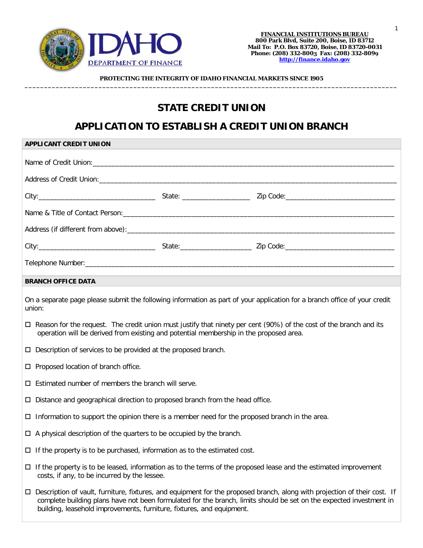

**PROTECTING THE INTEGRITY OF IDAHO FINANCIAL MARKETS SINCE 1905 \_\_\_\_\_\_\_\_\_\_\_\_\_\_\_\_\_\_\_\_\_\_\_\_\_\_\_\_\_\_\_\_\_\_\_\_\_\_\_\_\_\_\_\_\_\_\_\_\_\_\_\_\_\_\_\_\_\_\_\_\_\_\_\_\_\_\_\_\_\_\_\_\_\_\_\_\_\_\_\_\_\_\_\_\_\_\_\_\_\_\_\_\_\_\_\_**

## **STATE CREDIT UNION**

## **APPLICATION TO ESTABLISH A CREDIT UNION BRANCH**

| <b>APPLICANT CREDIT UNION</b>                                                                                                                                                                                                                                                                                             |  |  |  |  |  |  |  |  |
|---------------------------------------------------------------------------------------------------------------------------------------------------------------------------------------------------------------------------------------------------------------------------------------------------------------------------|--|--|--|--|--|--|--|--|
|                                                                                                                                                                                                                                                                                                                           |  |  |  |  |  |  |  |  |
|                                                                                                                                                                                                                                                                                                                           |  |  |  |  |  |  |  |  |
|                                                                                                                                                                                                                                                                                                                           |  |  |  |  |  |  |  |  |
|                                                                                                                                                                                                                                                                                                                           |  |  |  |  |  |  |  |  |
|                                                                                                                                                                                                                                                                                                                           |  |  |  |  |  |  |  |  |
|                                                                                                                                                                                                                                                                                                                           |  |  |  |  |  |  |  |  |
|                                                                                                                                                                                                                                                                                                                           |  |  |  |  |  |  |  |  |
| <b>BRANCH OFFICE DATA</b>                                                                                                                                                                                                                                                                                                 |  |  |  |  |  |  |  |  |
| On a separate page please submit the following information as part of your application for a branch office of your credit<br>union:                                                                                                                                                                                       |  |  |  |  |  |  |  |  |
| $\Box$ Reason for the request. The credit union must justify that ninety per cent (90%) of the cost of the branch and its<br>operation will be derived from existing and potential membership in the proposed area.                                                                                                       |  |  |  |  |  |  |  |  |
| $\Box$ Description of services to be provided at the proposed branch.                                                                                                                                                                                                                                                     |  |  |  |  |  |  |  |  |
| $\square$ Proposed location of branch office.                                                                                                                                                                                                                                                                             |  |  |  |  |  |  |  |  |
| $\Box$ Estimated number of members the branch will serve.                                                                                                                                                                                                                                                                 |  |  |  |  |  |  |  |  |
| $\Box$ Distance and geographical direction to proposed branch from the head office.                                                                                                                                                                                                                                       |  |  |  |  |  |  |  |  |
| $\Box$ Information to support the opinion there is a member need for the proposed branch in the area.                                                                                                                                                                                                                     |  |  |  |  |  |  |  |  |
| $\Box$ A physical description of the quarters to be occupied by the branch.                                                                                                                                                                                                                                               |  |  |  |  |  |  |  |  |
| $\Box$ If the property is to be purchased, information as to the estimated cost.                                                                                                                                                                                                                                          |  |  |  |  |  |  |  |  |
| $\Box$ If the property is to be leased, information as to the terms of the proposed lease and the estimated improvement<br>costs, if any, to be incurred by the lessee.                                                                                                                                                   |  |  |  |  |  |  |  |  |
| Description of vault, furniture, fixtures, and equipment for the proposed branch, along with projection of their cost. If<br>complete building plans have not been formulated for the branch, limits should be set on the expected investment in<br>building, leasehold improvements, furniture, fixtures, and equipment. |  |  |  |  |  |  |  |  |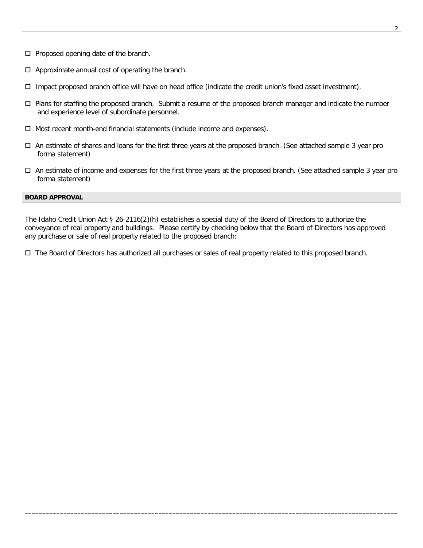2

- $\square$  Proposed opening date of the branch.
- $\Box$  Approximate annual cost of operating the branch.
- $\Box$  Impact proposed branch office will have on head office (indicate the credit union's fixed asset investment).
- $\Box$  Plans for staffing the proposed branch. Submit a resume of the proposed branch manager and indicate the number and experience level of subordinate personnel.
- $\Box$  Most recent month-end financial statements (include income and expenses).
- $\Box$  An estimate of shares and loans for the first three years at the proposed branch. (See attached sample 3 year pro forma statement)
- An estimate of income and expenses for the first three years at the proposed branch. (See attached sample 3 year pro forma statement)

## **BOARD APPROVAL**

The Idaho Credit Union Act § 26-2116(2)(h) establishes a special duty of the Board of Directors to authorize the conveyance of real property and buildings. Please certify by checking below that the Board of Directors has approved any purchase or sale of real property related to the proposed branch:

**\_\_\_\_\_\_\_\_\_\_\_\_\_\_\_\_\_\_\_\_\_\_\_\_\_\_\_\_\_\_\_\_\_\_\_\_\_\_\_\_\_\_\_\_\_\_\_\_\_\_\_\_\_\_\_\_\_\_\_\_\_\_\_\_\_\_\_\_\_\_\_\_\_\_\_\_\_\_\_\_\_\_\_\_\_\_\_\_\_\_\_\_\_\_\_\_\_\_\_\_\_\_\_\_\_\_**

The Board of Directors has authorized all purchases or sales of real property related to this proposed branch.